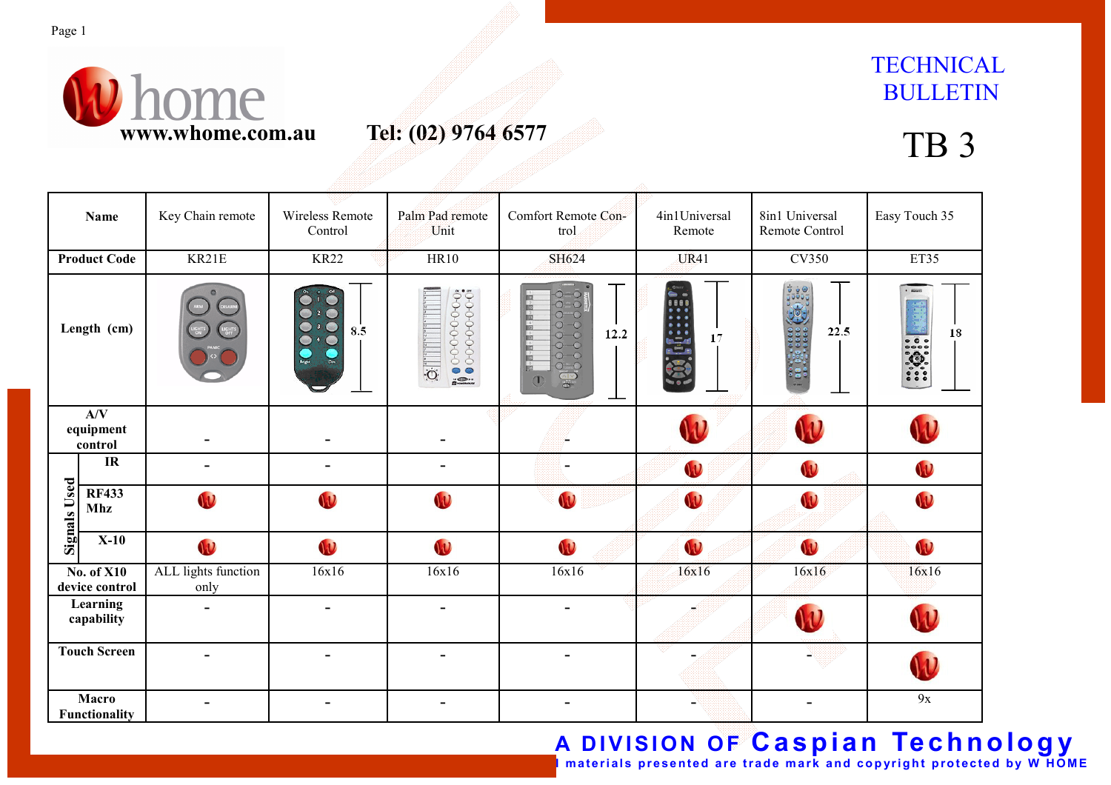

# **TECHNICAL** BULLETIN

| <b>Name</b>                                                         |                            | Key Chain remote            | Wireless Remote<br>Control                                       | Palm Pad remote<br>Unit | Comfort Remote Con-<br>trol                                                                                                 | 4in1Universal<br>Remote | 8in1 Universal<br>Remote Control | Easy Touch 35                   |
|---------------------------------------------------------------------|----------------------------|-----------------------------|------------------------------------------------------------------|-------------------------|-----------------------------------------------------------------------------------------------------------------------------|-------------------------|----------------------------------|---------------------------------|
| <b>Product Code</b>                                                 |                            | KR21E                       | <b>KR22</b>                                                      | <b>HR10</b>             | SH624                                                                                                                       | <b>UR41</b>             | <b>CV350</b>                     | ET35                            |
| Length (cm)                                                         |                            |                             | $\bullet$<br>2 <sup>o</sup><br>$\bullet$<br>8.5<br><b>Bright</b> | Ó                       | $\supset$<br>$O-O$<br>$O-O$<br>$O-O$<br>12.2<br>$O-O$<br>$\overline{O}-\overline{O}$<br>$O-O$<br>$\frac{1}{2}$<br>$\bigcap$ | 17                      | ់ ឆូ ⊌ូ⊚<br>ភូចចិចក្<br>22.5     | <b>Allowed</b><br>18<br><b></b> |
| A/V<br>equipment<br>control                                         |                            |                             |                                                                  |                         |                                                                                                                             |                         |                                  |                                 |
| <b>Signals Used</b>                                                 | IR                         | $\blacksquare$              | $\blacksquare$                                                   |                         |                                                                                                                             | W                       | W                                | W                               |
|                                                                     | <b>RF433</b><br><b>Mhz</b> | W                           | W                                                                | W                       | W                                                                                                                           | W                       | W                                | W                               |
|                                                                     | $X-10$                     | $\mathbf{v}$                | W                                                                | W                       | $\mathbf{U}$                                                                                                                | W                       | $\mathbf{u}$                     | $\mathbf{v}$                    |
| $\overline{No. of X10}$<br>device control<br>Learning<br>capability |                            | ALL lights function<br>only | 16x16                                                            | 16x16                   | 16x16                                                                                                                       | 16x16                   | 16x16                            | 16x16                           |
|                                                                     |                            | $\blacksquare$              | $\blacksquare$                                                   | $\blacksquare$          |                                                                                                                             |                         |                                  |                                 |
| <b>Touch Screen</b>                                                 |                            |                             |                                                                  |                         |                                                                                                                             |                         |                                  |                                 |
| Macro<br>Functionality                                              |                            |                             | -                                                                |                         |                                                                                                                             |                         |                                  | 9x                              |

A DIVISION OF Caspian Technology